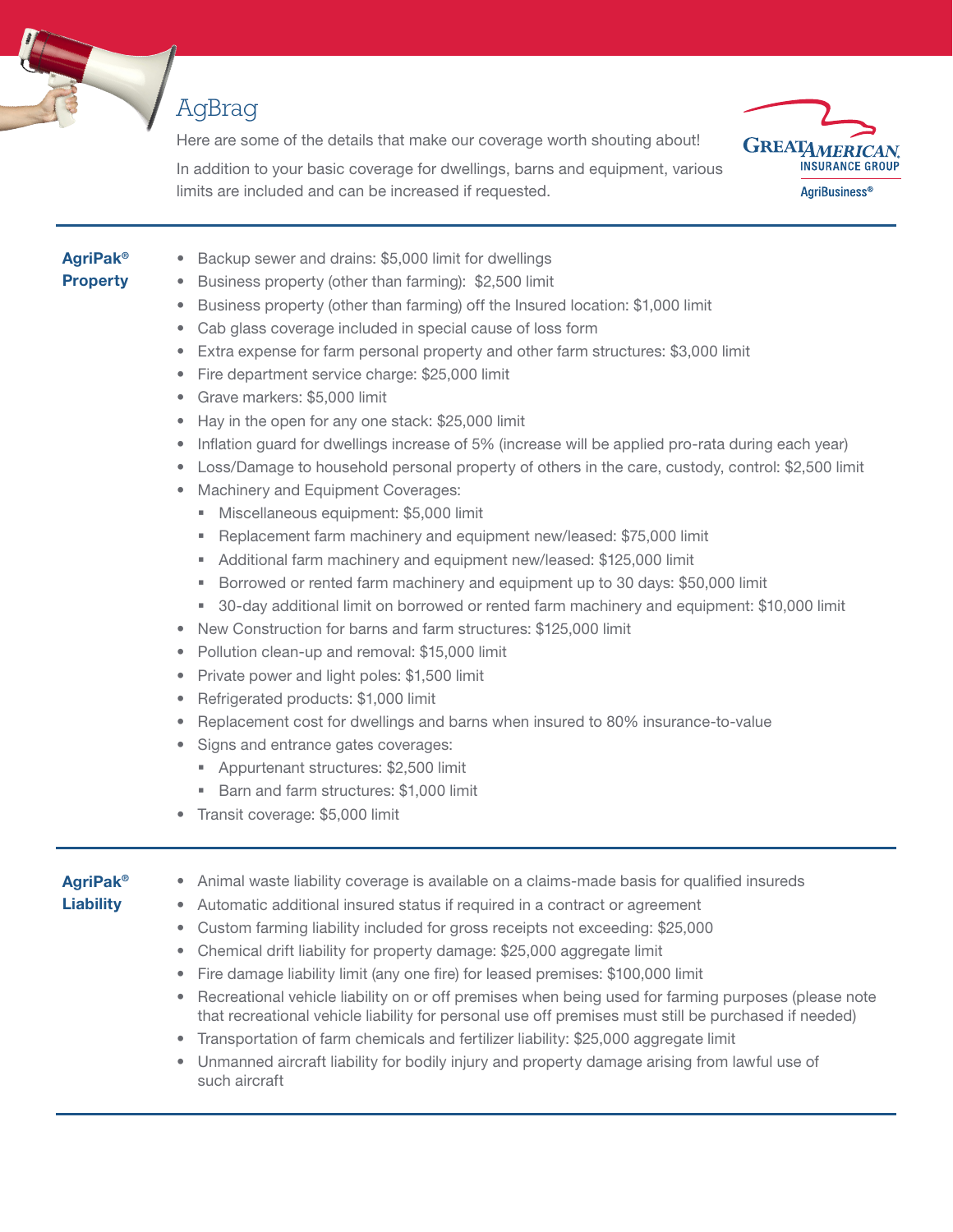

## AgBrag

Here are some of the details that make our coverage worth shouting about!



In addition to your basic coverage for dwellings, barns and equipment, various limits are included and can be increased if requested.

## AgriPak® Property

- Backup sewer and drains: \$5,000 limit for dwellings
- Business property (other than farming): \$2,500 limit
- Business property (other than farming) off the Insured location: \$1,000 limit
- Cab glass coverage included in special cause of loss form
- Extra expense for farm personal property and other farm structures: \$3,000 limit
- Fire department service charge: \$25,000 limit
- Grave markers: \$5,000 limit
- Hay in the open for any one stack: \$25,000 limit
- Inflation guard for dwellings increase of 5% (increase will be applied pro-rata during each year)
- Loss/Damage to household personal property of others in the care, custody, control: \$2,500 limit
- Machinery and Equipment Coverages:
	- Miscellaneous equipment: \$5,000 limit
	- Replacement farm machinery and equipment new/leased: \$75,000 limit
	- Additional farm machinery and equipment new/leased: \$125,000 limit
	- Borrowed or rented farm machinery and equipment up to 30 days: \$50,000 limit
	- 30-day additional limit on borrowed or rented farm machinery and equipment: \$10,000 limit
- New Construction for barns and farm structures: \$125,000 limit
- Pollution clean-up and removal: \$15,000 limit
- Private power and light poles: \$1,500 limit
- Refrigerated products: \$1,000 limit
- Replacement cost for dwellings and barns when insured to 80% insurance-to-value
- Signs and entrance gates coverages:
	- **Appurtenant structures: \$2,500 limit**
	- Barn and farm structures: \$1,000 limit
- Transit coverage: \$5,000 limit

## AgriPak® **Liability**

- Animal waste liability coverage is available on a claims-made basis for qualified insureds
- Automatic additional insured status if required in a contract or agreement
- Custom farming liability included for gross receipts not exceeding: \$25,000
- Chemical drift liability for property damage: \$25,000 aggregate limit
- Fire damage liability limit (any one fire) for leased premises: \$100,000 limit
- Recreational vehicle liability on or off premises when being used for farming purposes (please note that recreational vehicle liability for personal use off premises must still be purchased if needed)
- Transportation of farm chemicals and fertilizer liability: \$25,000 aggregate limit
- Unmanned aircraft liability for bodily injury and property damage arising from lawful use of such aircraft